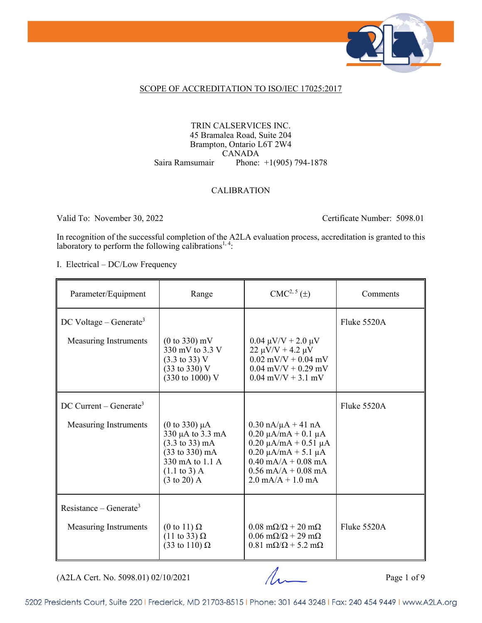

#### SCOPE OF ACCREDITATION TO ISO/IEC 17025:2017

#### TRIN CALSERVICES INC. 45 Bramalea Road, Suite 204 Brampton, Ontario L6T 2W4 CANADA Saira Ramsumair Phone: +1(905) 794-1878

#### CALIBRATION

Valid To: November 30, 2022 Certificate Number: 5098.01

In recognition of the successful completion of the A2LA evaluation process, accreditation is granted to this laboratory to perform the following calibrations<sup>1,4</sup>:

I. Electrical – DC/Low Frequency

| Parameter/Equipment                                                | Range                                                                                                                                                                                    | $CMC2, 5(\pm)$                                                                                                                                                                                                                           | Comments    |
|--------------------------------------------------------------------|------------------------------------------------------------------------------------------------------------------------------------------------------------------------------------------|------------------------------------------------------------------------------------------------------------------------------------------------------------------------------------------------------------------------------------------|-------------|
| DC Voltage – Generate <sup>3</sup><br><b>Measuring Instruments</b> | $(0 \text{ to } 330) \text{ mV}$<br>330 mV to 3.3 V                                                                                                                                      | $0.04 \mu V/V + 2.0 \mu V$<br>$22 \mu V/V + 4.2 \mu V$                                                                                                                                                                                   | Fluke 5520A |
|                                                                    | $(3.3 \text{ to } 33) \text{ V}$<br>$(33 \text{ to } 330) \text{ V}$<br>(330 to 1000) V                                                                                                  | $0.02$ mV/V + 0.04 mV<br>$0.04$ mV/V + 0.29 mV<br>$0.04$ mV/V + 3.1 mV                                                                                                                                                                   |             |
| DC Current – Generate <sup>3</sup>                                 |                                                                                                                                                                                          |                                                                                                                                                                                                                                          | Fluke 5520A |
| <b>Measuring Instruments</b>                                       | (0 to 330) $\mu$ A<br>330 µA to 3.3 mA<br>$(3.3 \text{ to } 33) \text{ mA}$<br>$(33 \text{ to } 330) \text{ mA}$<br>330 mA to 1.1 A<br>$(1.1 \text{ to } 3)$ A<br>$(3 \text{ to } 20)$ A | $0.30 \text{ nA}/\mu\text{A} + 41 \text{ nA}$<br>$0.20 \mu A/mA + 0.1 \mu A$<br>$0.20 \mu A/mA + 0.51 \mu A$<br>$0.20 \mu A/mA + 5.1 \mu A$<br>$0.40$ mA/A + $0.08$ mA<br>$0.56$ mA/A + $0.08$ mA<br>$2.0 \text{ mA/A} + 1.0 \text{ mA}$ |             |
| Resistance – Generate <sup>3</sup><br>Measuring Instruments        | (0 to 11) $\Omega$<br>$(11 \text{ to } 33) \Omega$<br>(33 to 110) $\Omega$                                                                                                               | $0.08 \text{ m}\Omega/\Omega + 20 \text{ m}\Omega$<br>$0.06 \text{ m}\Omega/\Omega + 29 \text{ m}\Omega$<br>$0.81 \text{ m}\Omega/\Omega$ + 5.2 m $\Omega$                                                                               | Fluke 5520A |

 $(A2LA$  Cert. No. 5098.01) 02/10/2021 Page 1 of 9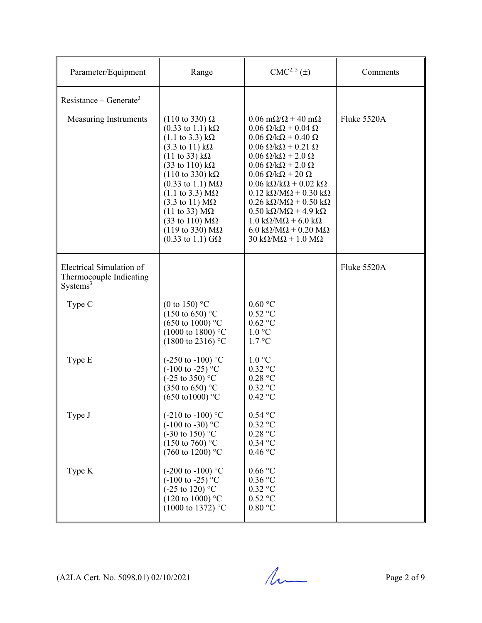| Parameter/Equipment                                                         | Range                                                                                                                                                                                                                                                                                                                                                                                                                                                                                                                                                        | $CMC2, 5(\pm)$                                                                                                                                                                                                                                                                                                                                                                                                                                                                                                                                                                                                                                                                                                   | Comments    |
|-----------------------------------------------------------------------------|--------------------------------------------------------------------------------------------------------------------------------------------------------------------------------------------------------------------------------------------------------------------------------------------------------------------------------------------------------------------------------------------------------------------------------------------------------------------------------------------------------------------------------------------------------------|------------------------------------------------------------------------------------------------------------------------------------------------------------------------------------------------------------------------------------------------------------------------------------------------------------------------------------------------------------------------------------------------------------------------------------------------------------------------------------------------------------------------------------------------------------------------------------------------------------------------------------------------------------------------------------------------------------------|-------------|
| Resistance – Generate <sup>3</sup><br>Measuring Instruments                 | $(110 \text{ to } 330) \Omega$<br>$(0.33 \text{ to } 1.1) \text{ k}\Omega$<br>$(1.1 \text{ to } 3.3) \text{ k}\Omega$<br>$(3.3 \text{ to } 11) \text{ k}\Omega$<br>$(11 \text{ to } 33) \text{ k}\Omega$<br>$(33 \text{ to } 110) \text{ k}\Omega$<br>$(110 \text{ to } 330) \text{ kΩ}$<br>$(0.33 \text{ to } 1.1) \text{ M}\Omega$<br>$(1.1$ to 3.3) ΜΩ<br>$(3.3 \text{ to } 11) \text{ M}\Omega$<br>$(11 \text{ to } 33) \text{ M}\Omega$<br>(33 to 110) $M\Omega$<br>$(119 \text{ to } 330) \text{ M}\Omega$<br>$(0.33 \text{ to } 1.1) \text{ G}\Omega$ | $0.06 \text{ m}\Omega/\Omega + 40 \text{ m}\Omega$<br>$0.06 \Omega/k\Omega + 0.04 \Omega$<br>$0.06 \Omega/k\Omega + 0.40 \Omega$<br>$0.06 \Omega/k\Omega + 0.21 \Omega$<br>$0.06 \Omega/k\Omega + 2.0 \Omega$<br>$0.06 \Omega/k\Omega + 2.0 \Omega$<br>$0.06 \Omega/k\Omega + 20 \Omega$<br>$0.06 \text{ k}\Omega/\text{k}\Omega + 0.02 \text{ k}\Omega$<br>$0.12 \text{ k}\Omega/\text{M}\Omega + 0.30 \text{ k}\Omega$<br>$0.26 \text{ k}\Omega/\text{M}\Omega + 0.50 \text{ k}\Omega$<br>$0.50 \text{ k}\Omega/\text{M}\Omega$ + 4.9 k $\Omega$<br>$1.0 \text{ k}\Omega/\text{M}\Omega$ + 6.0 k $\Omega$<br>$6.0 \text{ k}\Omega/\text{M}\Omega + 0.20 \text{ M}\Omega$<br>$30 k\Omega/M\Omega + 1.0 M\Omega$ | Fluke 5520A |
| Electrical Simulation of<br>Thermocouple Indicating<br>Systems <sup>3</sup> |                                                                                                                                                                                                                                                                                                                                                                                                                                                                                                                                                              |                                                                                                                                                                                                                                                                                                                                                                                                                                                                                                                                                                                                                                                                                                                  | Fluke 5520A |
| Type C                                                                      | (0 to 150) $^{\circ}$ C<br>$(150 \text{ to } 650)$ °C<br>$(650 \text{ to } 1000)$ °C<br>$(1000 \text{ to } 1800)$ °C<br>$(1800 \text{ to } 2316)$ °C                                                                                                                                                                                                                                                                                                                                                                                                         | $0.60\ ^{\circ}\mathrm{C}$<br>$0.52$ °C<br>$0.62$ °C<br>1.0 °C<br>$1.7 \text{ °C}$                                                                                                                                                                                                                                                                                                                                                                                                                                                                                                                                                                                                                               |             |
| Type E                                                                      | $(-250 \text{ to } -100)$ °C<br>$(-100 \text{ to } -25)$ °C<br>$(-25 \text{ to } 350)$ °C<br>$(350 \text{ to } 650)$ °C<br>$(650 \text{ to } 1000)$ °C                                                                                                                                                                                                                                                                                                                                                                                                       | 1.0 °C<br>$0.32$ °C<br>0.28 °C<br>$0.32$ °C<br>$0.42$ °C                                                                                                                                                                                                                                                                                                                                                                                                                                                                                                                                                                                                                                                         |             |
| Type J                                                                      | $(-210 \text{ to } -100)$ °C<br>$(-100 \text{ to } -30)$ °C<br>$(-30 \text{ to } 150)$ °C<br>$(150 \text{ to } 760)$ °C<br>(760 to 1200) °C                                                                                                                                                                                                                                                                                                                                                                                                                  | $0.54$ °C<br>$0.32$ °C<br>0.28 °C<br>$0.34$ °C<br>$0.46$ °C                                                                                                                                                                                                                                                                                                                                                                                                                                                                                                                                                                                                                                                      |             |
| Type K                                                                      | $(-200 \text{ to } -100)$ °C<br>$(-100 \text{ to } -25)$ °C<br>$(-25 \text{ to } 120)$ °C<br>$(120 \text{ to } 1000)$ °C<br>$(1000 \text{ to } 1372)$ °C                                                                                                                                                                                                                                                                                                                                                                                                     | $0.66\,^{\circ}\mathrm{C}$<br>$0.36$ °C<br>$0.32$ °C<br>$0.52$ °C<br>0.80 °C                                                                                                                                                                                                                                                                                                                                                                                                                                                                                                                                                                                                                                     |             |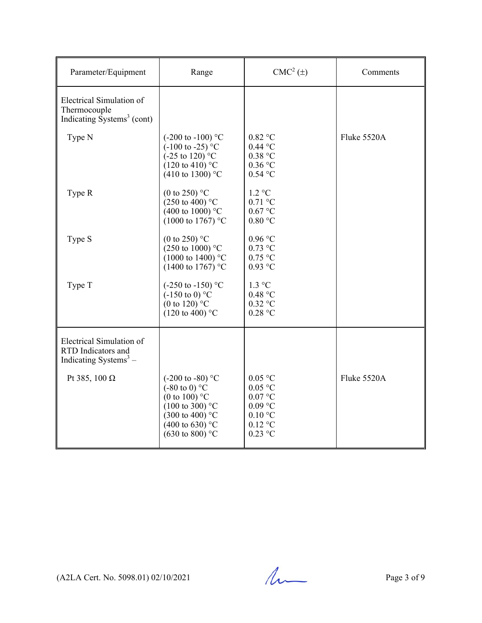| Parameter/Equipment                                                                           | Range                                                                                                                                                                                                      | $CMC2(\pm)$                                                                                                     | Comments    |
|-----------------------------------------------------------------------------------------------|------------------------------------------------------------------------------------------------------------------------------------------------------------------------------------------------------------|-----------------------------------------------------------------------------------------------------------------|-------------|
| Electrical Simulation of<br>Thermocouple<br>Indicating $\tilde{S}$ ystems <sup>3</sup> (cont) |                                                                                                                                                                                                            |                                                                                                                 |             |
| Type N                                                                                        | $(-200 \text{ to } -100)$ °C<br>$(-100 \text{ to } -25)$ °C<br>$(-25 \text{ to } 120)$ °C<br>$(120 \text{ to } 410)$ °C<br>$(410 \text{ to } 1300)$ °C                                                     | $0.82$ °C<br>$0.44$ °C<br>0.38 °C<br>$0.36\,^{\circ}\mathrm{C}$<br>$0.54$ °C                                    | Fluke 5520A |
| Type R                                                                                        | (0 to 250) $^{\circ}$ C<br>$(250 \text{ to } 400)$ °C<br>$(400 \text{ to } 1000)$ °C<br>(1000 to 1767) °C                                                                                                  | $1.2 \text{ °C}$<br>$0.71$ °C<br>$0.67$ °C<br>$0.80$ °C                                                         |             |
| Type S                                                                                        | (0 to 250) $^{\circ}$ C<br>$(250 \text{ to } 1000)$ °C<br>$(1000 \text{ to } 1400)$ °C<br>$(1400 \text{ to } 1767)$ °C                                                                                     | $0.96$ °C<br>$0.73$ °C<br>$0.75$ °C<br>$0.93$ °C                                                                |             |
| Type T                                                                                        | $(-250 \text{ to } -150)$ °C<br>$(-150 \text{ to } 0)$ °C<br>(0 to 120) $^{\circ}$ C<br>$(120 \text{ to } 400)$ °C                                                                                         | $1.3 \text{ °C}$<br>0.48 °C<br>$0.32$ °C<br>$0.28$ °C                                                           |             |
| Electrical Simulation of<br>RTD Indicators and<br>Indicating Systems <sup>3</sup> –           |                                                                                                                                                                                                            |                                                                                                                 |             |
| Pt 385, 100 $\Omega$                                                                          | $(-200 \text{ to } -80)$ °C<br>$(-80 \text{ to } 0)$ °C<br>(0 to 100) $^{\circ}$ C<br>$(100 \text{ to } 300)$ °C<br>$(300 \text{ to } 400)$ °C<br>$(400 \text{ to } 630)$ °C<br>$(630 \text{ to } 800)$ °C | $0.05$ °C<br>$0.05$ °C<br>$0.07\,^{\circ}\mathrm{C}$<br>$0.09$ °C<br>$0.10\text{ °C}$<br>$0.12$ °C<br>$0.23$ °C | Fluke 5520A |

 $(A2LA$  Cert. No. 5098.01) 02/10/2021 Page 3 of 9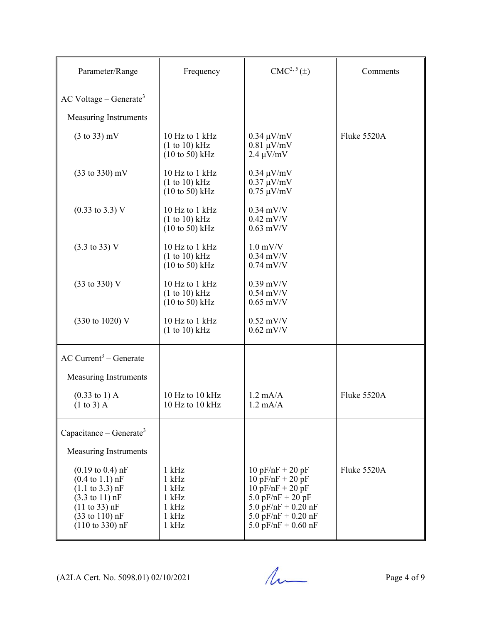| Parameter/Range                                                                                                                                                                                                                                  | Frequency                                                                 | $CMC2, 5(\pm)$                                                                                                                                                   | Comments    |
|--------------------------------------------------------------------------------------------------------------------------------------------------------------------------------------------------------------------------------------------------|---------------------------------------------------------------------------|------------------------------------------------------------------------------------------------------------------------------------------------------------------|-------------|
| $AC$ Voltage – Generate <sup>3</sup>                                                                                                                                                                                                             |                                                                           |                                                                                                                                                                  |             |
| <b>Measuring Instruments</b>                                                                                                                                                                                                                     |                                                                           |                                                                                                                                                                  |             |
| $(3 \text{ to } 33)$ mV                                                                                                                                                                                                                          | 10 Hz to 1 kHz<br>(1 to 10) kHz<br>$(10 to 50)$ kHz                       | $0.34 \mu V/mV$<br>$0.81 \mu V/mV$<br>$2.4 \mu V/mV$                                                                                                             | Fluke 5520A |
| $(33 \text{ to } 330) \text{ mV}$                                                                                                                                                                                                                | 10 Hz to 1 kHz<br>(1 to 10) kHz<br>$(10 to 50)$ kHz                       | $0.34 \mu V/mV$<br>$0.37 \mu V/mV$<br>$0.75 \ \mu V/mV$                                                                                                          |             |
| $(0.33 \text{ to } 3.3) \text{ V}$                                                                                                                                                                                                               | 10 Hz to 1 kHz<br>(1 to 10) kHz<br>$(10 to 50)$ kHz                       | $0.34$ mV/V<br>$0.42$ mV/V<br>$0.63$ mV/V                                                                                                                        |             |
| $(3.3 \text{ to } 33) \text{ V}$                                                                                                                                                                                                                 | 10 Hz to 1 kHz<br>(1 to 10) kHz<br>$(10 \text{ to } 50)$ kHz              | $1.0$ mV/V<br>$0.34$ mV/V<br>$0.74$ mV/V                                                                                                                         |             |
| $(33 \text{ to } 330) \text{ V}$                                                                                                                                                                                                                 | 10 Hz to 1 kHz<br>(1 to 10) kHz<br>$(10 \text{ to } 50)$ kHz              | $0.39$ mV/V<br>$0.54$ mV/V<br>$0.65$ mV/V                                                                                                                        |             |
| (330 to 1020) V                                                                                                                                                                                                                                  | 10 Hz to 1 kHz<br>(1 to 10) kHz                                           | $0.52$ mV/V<br>$0.62$ mV/V                                                                                                                                       |             |
| $AC$ Current <sup>3</sup> – Generate                                                                                                                                                                                                             |                                                                           |                                                                                                                                                                  |             |
| Measuring Instruments                                                                                                                                                                                                                            |                                                                           |                                                                                                                                                                  |             |
| $(0.33 \text{ to } 1) \text{ A}$<br>$(1 to 3)$ A                                                                                                                                                                                                 | 10 Hz to 10 kHz<br>10 Hz to 10 kHz                                        | $1.2 \text{ mA/A}$<br>$1.2 \text{ mA/A}$                                                                                                                         | Fluke 5520A |
| Capacitance – Generate <sup>3</sup>                                                                                                                                                                                                              |                                                                           |                                                                                                                                                                  |             |
| <b>Measuring Instruments</b>                                                                                                                                                                                                                     |                                                                           |                                                                                                                                                                  |             |
| $(0.19 \text{ to } 0.4) \text{ nF}$<br>$(0.4 \text{ to } 1.1) \text{ nF}$<br>$(1.1 \text{ to } 3.3) \text{ nF}$<br>$(3.3 \text{ to } 11) \text{ nF}$<br>(11 to 33) nF<br>$(33 \text{ to } 110) \text{ nF}$<br>$(110 \text{ to } 330) \text{ nF}$ | $1$ kHz<br>$1$ kHz<br>$1$ kHz<br>$1$ kHz<br>$1$ kHz<br>$1$ kHz<br>$1$ kHz | $10 pF/nF + 20 pF$<br>$10 pF/nF + 20 pF$<br>$10 pF/nF + 20 pF$<br>5.0 $pF/nF + 20 pF$<br>5.0 pF/nF + $0.20$ nF<br>5.0 pF/nF + $0.20$ nF<br>5.0 pF/nF + $0.60$ nF | Fluke 5520A |

 $(A2LA$  Cert. No. 5098.01) 02/10/2021 Page 4 of 9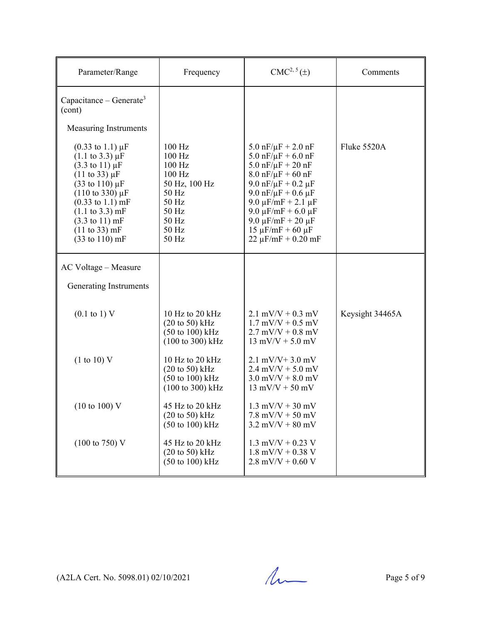| Parameter/Range                                                                                                                                                                                                                                                                                                                                                                 | Frequency                                                                                                                 | $CMC2, 5(\pm)$                                                                                                                                                                                                                                                                                                                                                    | Comments        |
|---------------------------------------------------------------------------------------------------------------------------------------------------------------------------------------------------------------------------------------------------------------------------------------------------------------------------------------------------------------------------------|---------------------------------------------------------------------------------------------------------------------------|-------------------------------------------------------------------------------------------------------------------------------------------------------------------------------------------------------------------------------------------------------------------------------------------------------------------------------------------------------------------|-----------------|
| Capacitance – Generate <sup>3</sup><br>(cont)                                                                                                                                                                                                                                                                                                                                   |                                                                                                                           |                                                                                                                                                                                                                                                                                                                                                                   |                 |
| <b>Measuring Instruments</b>                                                                                                                                                                                                                                                                                                                                                    |                                                                                                                           |                                                                                                                                                                                                                                                                                                                                                                   |                 |
| $(0.33 \text{ to } 1.1) \mu F$<br>$(1.1 \text{ to } 3.3) \mu F$<br>$(3.3 \text{ to } 11) \mu F$<br>$(11 \text{ to } 33) \mu F$<br>$(33 \text{ to } 110) \,\mu\text{F}$<br>$(110 \text{ to } 330) \mu F$<br>$(0.33 \text{ to } 1.1) \text{ mF}$<br>$(1.1 \text{ to } 3.3) \text{ mF}$<br>$(3.3 \text{ to } 11) \text{ mF}$<br>(11 to 33) mF<br>$(33 \text{ to } 110) \text{ mF}$ | $100$ Hz<br>$100$ Hz<br>100 Hz<br>100 Hz<br>50 Hz, 100 Hz<br>50 Hz<br>50 Hz<br>50 Hz<br>50 Hz<br>50 Hz<br>50 Hz           | $5.0 \text{ nF}/\mu\text{F} + 2.0 \text{ nF}$<br>$5.0 \text{ nF}/\mu\text{F} + 6.0 \text{ nF}$<br>$5.0$ nF/ $\mu$ F + 20 nF<br>$8.0 \text{ nF}/\mu\text{F} + 60 \text{ nF}$<br>9.0 $nF/\mu F + 0.2 \mu F$<br>9.0 $nF/\mu F + 0.6 \mu F$<br>9.0 μF/mF + 2.1 μF<br>9.0 μF/mF + 6.0 μF<br>9.0 μF/mF + 20 μF<br>$15 \mu$ F/mF + 60 $\mu$ F<br>$22 \mu$ F/mF + 0.20 mF | Fluke 5520A     |
| AC Voltage - Measure                                                                                                                                                                                                                                                                                                                                                            |                                                                                                                           |                                                                                                                                                                                                                                                                                                                                                                   |                 |
| Generating Instruments                                                                                                                                                                                                                                                                                                                                                          |                                                                                                                           |                                                                                                                                                                                                                                                                                                                                                                   |                 |
| $(0.1 \text{ to } 1) \text{ V}$                                                                                                                                                                                                                                                                                                                                                 | 10 Hz to 20 kHz<br>$(20 \text{ to } 50)$ kHz<br>$(50 \text{ to } 100) \text{ kHz}$<br>$(100 \text{ to } 300) \text{ kHz}$ | $2.1$ mV/V + 0.3 mV<br>$1.7$ mV/V + 0.5 mV<br>$2.7$ mV/V + 0.8 mV<br>$13 \text{ mV/V} + 5.0 \text{ mV}$                                                                                                                                                                                                                                                           | Keysight 34465A |
| (1 to 10) V                                                                                                                                                                                                                                                                                                                                                                     | 10 Hz to 20 kHz<br>$(20 \text{ to } 50)$ kHz<br>$(50 \text{ to } 100) \text{ kHz}$<br>$(100 \text{ to } 300) \text{ kHz}$ | $2.1 \text{ mV/V} + 3.0 \text{ mV}$<br>$2.4$ mV/V + 5.0 mV<br>$3.0$ mV/V + $8.0$ mV<br>$13$ mV/V + 50 mV                                                                                                                                                                                                                                                          |                 |
| $(10 \text{ to } 100)$ V                                                                                                                                                                                                                                                                                                                                                        | 45 Hz to 20 kHz<br>$(20 \text{ to } 50)$ kHz<br>(50 to 100) kHz                                                           | $1.3$ mV/V + 30 mV<br>$7.8$ mV/V + 50 mV<br>$3.2$ mV/V + 80 mV                                                                                                                                                                                                                                                                                                    |                 |
| $(100 \text{ to } 750) \text{ V}$                                                                                                                                                                                                                                                                                                                                               | 45 Hz to 20 kHz<br>$(20 \text{ to } 50)$ kHz<br>(50 to 100) kHz                                                           | $1.3$ mV/V + 0.23 V<br>$1.8$ mV/V + 0.38 V<br>$2.8$ mV/V + 0.60 V                                                                                                                                                                                                                                                                                                 |                 |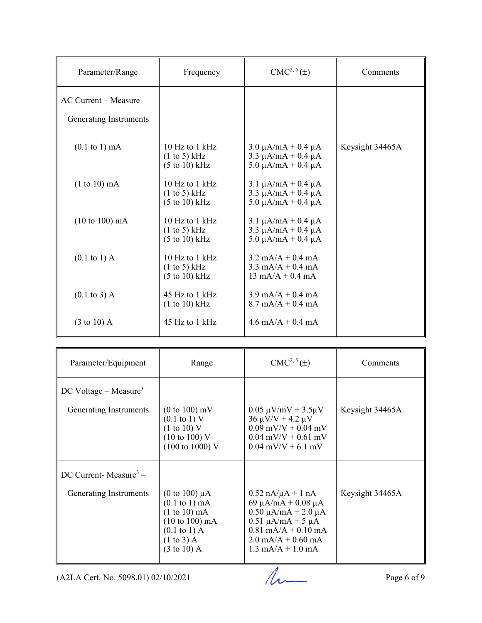| Parameter/Range                   | Frequency                                                              | CMC <sup>2, 5</sup> (±)                                                                                          | Comments        |
|-----------------------------------|------------------------------------------------------------------------|------------------------------------------------------------------------------------------------------------------|-----------------|
| AC Current - Measure              |                                                                        |                                                                                                                  |                 |
| Generating Instruments            |                                                                        |                                                                                                                  |                 |
| $(0.1 \text{ to } 1) \text{ mA}$  | $10$ Hz to $1$ kHz<br>(1 to 5) kHz<br>$(5 \text{ to } 10) \text{ kHz}$ | $3.0 \mu A/mA + 0.4 \mu A$<br>$3.3 \mu A/mA + 0.4 \mu A$<br>$5.0 \mu A/mA + 0.4 \mu A$                           | Keysight 34465A |
| $(1 to 10)$ mA                    | 10 Hz to 1 kHz<br>(1 to 5) kHz<br>$(5 \text{ to } 10) \text{ kHz}$     | $3.1 \mu A/mA + 0.4 \mu A$<br>$3.3 \mu A/mA + 0.4 \mu A$<br>$5.0 \mu A/mA + 0.4 \mu A$                           |                 |
| $(10 \text{ to } 100) \text{ mA}$ | 10 Hz to $1$ kHz<br>(1 to 5) kHz<br>$(5 \text{ to } 10) \text{ kHz}$   | $3.1 \mu A/mA + 0.4 \mu A$<br>$3.3 \mu A/mA + 0.4 \mu A$<br>$5.0 \mu A/mA + 0.4 \mu A$                           |                 |
| $(0.1 \text{ to } 1) \text{ A}$   | 10 Hz to 1 kHz<br>(1 to 5) kHz<br>$(5 \text{ to } 10) \text{ kHz}$     | $3.2 \text{ mA/A} + 0.4 \text{ mA}$<br>$3.3 \text{ mA/A} + 0.4 \text{ mA}$<br>$13 \text{ mA/A} + 0.4 \text{ mA}$ |                 |
| $(0.1 \text{ to } 3)$ A           | 45 Hz to 1 kHz<br>(1 to 10) kHz                                        | $3.9 \text{ mA/A} + 0.4 \text{ mA}$<br>$8.7 \text{ mA/A} + 0.4 \text{ mA}$                                       |                 |
| $(3 \text{ to } 10)$ A            | 45 Hz to 1 kHz                                                         | $4.6 \text{ mA/A} + 0.4 \text{ mA}$                                                                              |                 |

| Parameter/Equipment                                           | Range                                                                                                                                                             | $CMC2, 5(\pm)$                                                                                                                                                                                                           | Comments        |
|---------------------------------------------------------------|-------------------------------------------------------------------------------------------------------------------------------------------------------------------|--------------------------------------------------------------------------------------------------------------------------------------------------------------------------------------------------------------------------|-----------------|
| $DC$ Voltage – Measure <sup>3</sup><br>Generating Instruments | $(0 \text{ to } 100) \text{ mV}$<br>$(0.1 \text{ to } 1)$ V<br>(1 to 10) V<br>$(10 \text{ to } 100)$ V<br>$(100 \text{ to } 1000) \text{ V}$                      | $0.05 \mu V/mV + 3.5 \mu V$<br>$36 \mu V/V + 4.2 \mu V$<br>$0.09$ mV/V + 0.04 mV<br>$0.04$ mV/V + 0.61 mV<br>$0.04$ mV/V + 6.1 mV                                                                                        | Keysight 34465A |
| DC Current-Measure <sup>3</sup> –                             |                                                                                                                                                                   |                                                                                                                                                                                                                          |                 |
| Generating Instruments                                        | (0 to 100) $\mu$ A<br>$(0.1 \text{ to } 1) \text{ mA}$<br>$(1 to 10)$ mA<br>$(10 to 100)$ mA<br>$(0.1 \text{ to } 1)$ A<br>$(1 to 3)$ A<br>$(3 \text{ to } 10)$ A | $0.52 \text{ nA}/\mu\text{A} + 1 \text{ nA}$<br>69 μA/mA + 0.08 μA<br>$0.50 \mu A/mA + 2.0 \mu A$<br>$0.51 \mu A/mA + 5 \mu A$<br>$0.81$ mA/A + $0.10$ mA<br>$2.0$ mA/A + 0.60 mA<br>$1.3 \text{ mA/A} + 1.0 \text{ mA}$ | Keysight 34465A |

 $(A2LA$  Cert. No. 5098.01) 02/10/2021 Page 6 of 9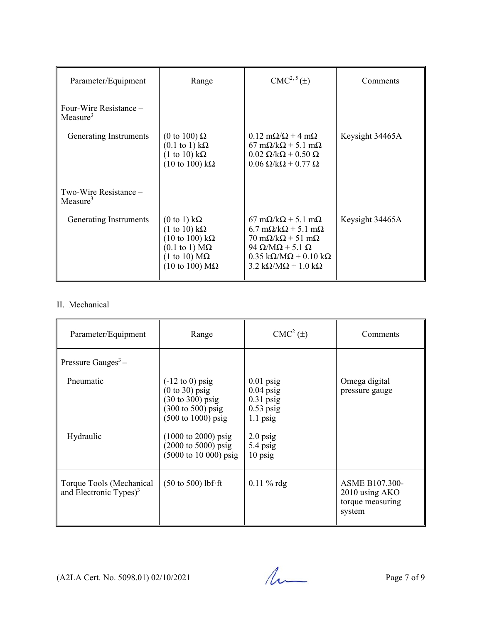| Parameter/Equipment                   | Range                                                                                                                                                                                                                                            | $CMC2, 5(\pm)$                                                                                                                                                                                                                                                                                           | Comments        |
|---------------------------------------|--------------------------------------------------------------------------------------------------------------------------------------------------------------------------------------------------------------------------------------------------|----------------------------------------------------------------------------------------------------------------------------------------------------------------------------------------------------------------------------------------------------------------------------------------------------------|-----------------|
| Four-Wire Resistance -<br>Measure $3$ |                                                                                                                                                                                                                                                  |                                                                                                                                                                                                                                                                                                          |                 |
| Generating Instruments                | (0 to 100) $\Omega$<br>$(0.1 \text{ to } 1) \text{ k}\Omega$<br>$(1 \text{ to } 10) \text{ k}\Omega$<br>$(10 \text{ to } 100) \text{ k}\Omega$                                                                                                   | $0.12 \text{ m}\Omega/\Omega + 4 \text{ m}\Omega$<br>$67 \text{ mA}$ /k $\Omega$ + 5.1 m $\Omega$<br>$0.02 \Omega/k\Omega + 0.50 \Omega$<br>$0.06 \Omega/k\Omega + 0.77 \Omega$                                                                                                                          | Keysight 34465A |
| Two-Wire Resistance -<br>Measure $3$  |                                                                                                                                                                                                                                                  |                                                                                                                                                                                                                                                                                                          |                 |
| Generating Instruments                | $(0 \text{ to } 1) \text{ k}\Omega$<br>$(1 \text{ to } 10) \text{ k}\Omega$<br>$(10 \text{ to } 100) \text{ k}\Omega$<br>$(0.1 \text{ to } 1) \text{ M}\Omega$<br>$(1 \text{ to } 10) \text{ M}\Omega$<br>$(10 \text{ to } 100) \text{ M}\Omega$ | $67 \text{ mA}$ /k $\Omega$ + 5.1 m $\Omega$<br>$6.7 \text{ mA/k}\Omega + 5.1 \text{ mA}$<br>$70 \text{ mA/k}\Omega + 51 \text{ mA}$<br>94 $\Omega/M\Omega$ + 5.1 $\Omega$<br>$0.35 \text{ k}\Omega/\text{M}\Omega + 0.10 \text{ k}\Omega$<br>$3.2 \text{ k}\Omega/\text{M}\Omega + 1.0 \text{ k}\Omega$ | Keysight 34465A |

#### II. Mechanical

| Parameter/Equipment                                   | Range                                                                                                                                                                                                                                                                                         | $CMC2(\pm)$                                                                                                     | Comments                                                              |
|-------------------------------------------------------|-----------------------------------------------------------------------------------------------------------------------------------------------------------------------------------------------------------------------------------------------------------------------------------------------|-----------------------------------------------------------------------------------------------------------------|-----------------------------------------------------------------------|
| Pressure Gauges <sup>3</sup> –                        |                                                                                                                                                                                                                                                                                               |                                                                                                                 |                                                                       |
| Pneumatic<br>Hydraulic                                | $(-12 \text{ to } 0)$ psig<br>$(0 to 30)$ psig<br>$(30 \text{ to } 300)$ psig<br>$(300 \text{ to } 500) \text{ psig}$<br>$(500 \text{ to } 1000) \text{ psig}$<br>$(1000 \text{ to } 2000) \text{ psig}$<br>$(2000 \text{ to } 5000) \text{ psig}$<br>$(5000 \text{ to } 10000) \text{ psig}$ | $0.01$ psig<br>$0.04$ psig<br>$0.31$ psig<br>$0.53$ psig<br>$1.1$ psig<br>$2.0$ psig<br>$5.4$ psig<br>$10$ psig | Omega digital<br>pressure gauge                                       |
| Torque Tools (Mechanical<br>and Electronic Types) $3$ | $(50 \text{ to } 500)$ lbf·ft                                                                                                                                                                                                                                                                 | $0.11 \%$ rdg                                                                                                   | <b>ASME B107.300-</b><br>2010 using AKO<br>torque measuring<br>system |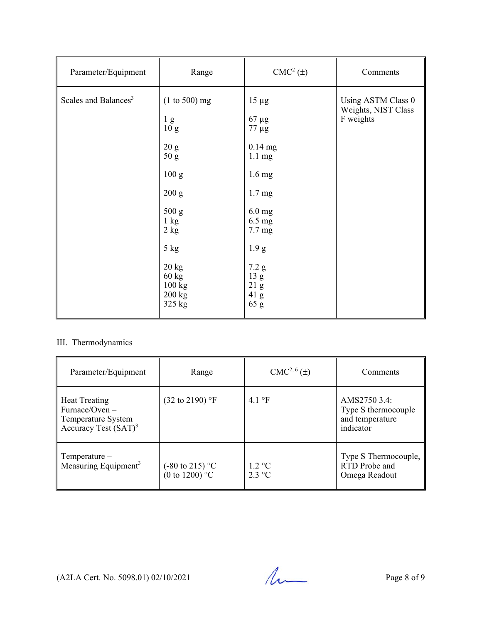| Parameter/Equipment              | Range                                                                                                                                                                                                   | $CMC2(\pm)$                                                                                                                                                                                                                                  | Comments                                               |
|----------------------------------|---------------------------------------------------------------------------------------------------------------------------------------------------------------------------------------------------------|----------------------------------------------------------------------------------------------------------------------------------------------------------------------------------------------------------------------------------------------|--------------------------------------------------------|
| Scales and Balances <sup>3</sup> | $(1 to 500)$ mg<br>1 <sub>g</sub><br>10 <sub>g</sub><br>20 g<br>50 g<br>100 g<br>200 g<br>500 g<br>$1 \text{ kg}$<br>2 kg<br>$5$ kg<br>$20 \text{ kg}$<br>$60 \text{ kg}$<br>100 kg<br>200 kg<br>325 kg | $15 \mu g$<br>$67 \mu g$<br>$77 \mu g$<br>$0.14$ mg<br>$1.1 \text{ mg}$<br>$1.6 \text{ mg}$<br>1.7 <sub>mg</sub><br>$6.0$ mg<br>$6.5 \text{ mg}$<br>$7.7 \text{ mg}$<br>1.9 <sub>g</sub><br>7.2 g<br>13 <sub>g</sub><br>21 g<br>41 g<br>65 g | Using ASTM Class 0<br>Weights, NIST Class<br>F weights |

#### III. Thermodynamics

| Parameter/Equipment                                                                                | Range                                                  | $CMC2, 6(\pm)$                              | Comments                                                            |
|----------------------------------------------------------------------------------------------------|--------------------------------------------------------|---------------------------------------------|---------------------------------------------------------------------|
| <b>Heat Treating</b><br>Furnace/Oven $-$<br>Temperature System<br>Accuracy Test (SAT) <sup>3</sup> | $(32 \text{ to } 2190)$ °F                             | 4.1 $\mathrm{P}$ F                          | AMS2750 3.4:<br>Type S thermocouple<br>and temperature<br>indicator |
| $Temperature-$<br>Measuring Equipment <sup>3</sup>                                                 | $(-80 \text{ to } 215)$ °C<br>(0 to 1200) $^{\circ}$ C | $1.2 \text{ }^{\circ}C$<br>$2.3 \text{ °C}$ | Type S Thermocouple,<br>RTD Probe and<br>Omega Readout              |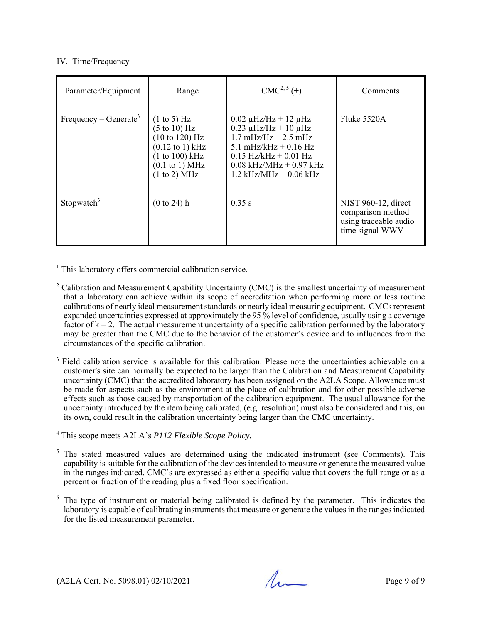#### IV. Time/Frequency

| Parameter/Equipment               | Range                                                                                                                                                           | CMC <sup>2, 5</sup> (±)                                                                                                                                                                                                              | Comments                                                                             |
|-----------------------------------|-----------------------------------------------------------------------------------------------------------------------------------------------------------------|--------------------------------------------------------------------------------------------------------------------------------------------------------------------------------------------------------------------------------------|--------------------------------------------------------------------------------------|
| Frequency – Generate <sup>3</sup> | $(1 \text{ to } 5)$ Hz<br>$(5 \text{ to } 10)$ Hz<br>(10 to 120) Hz<br>$(0.12 \text{ to } 1) \text{ kHz}$<br>(1 to 100) kHz<br>$(0.1$ to 1) MHz<br>(1 to 2) MHz | $0.02 \mu$ Hz/Hz + 12 μHz<br>$0.23 \mu$ Hz/Hz + 10 $\mu$ Hz<br>$1.7 \text{ mHz/Hz} + 2.5 \text{ mHz}$<br>5.1 mHz/kHz $+$ 0.16 Hz<br>$0.15$ Hz/kHz + 0.01 Hz<br>$0.08$ kHz/MHz + 0.97 kHz<br>$1.2 \text{ kHz/MHz} + 0.06 \text{ kHz}$ | Fluke 5520A                                                                          |
| Stopwatch <sup>3</sup>            | $(0 to 24)$ h                                                                                                                                                   | 0.35 s                                                                                                                                                                                                                               | NIST 960-12, direct<br>comparison method<br>using traceable audio<br>time signal WWV |

<sup>1</sup> This laboratory offers commercial calibration service.

- <sup>2</sup> Calibration and Measurement Capability Uncertainty (CMC) is the smallest uncertainty of measurement that a laboratory can achieve within its scope of accreditation when performing more or less routine calibrations of nearly ideal measurement standards or nearly ideal measuring equipment. CMCs represent expanded uncertainties expressed at approximately the 95 % level of confidence, usually using a coverage factor of  $k = 2$ . The actual measurement uncertainty of a specific calibration performed by the laboratory may be greater than the CMC due to the behavior of the customer's device and to influences from the circumstances of the specific calibration.
- <sup>3</sup> Field calibration service is available for this calibration. Please note the uncertainties achievable on a customer's site can normally be expected to be larger than the Calibration and Measurement Capability uncertainty (CMC) that the accredited laboratory has been assigned on the A2LA Scope. Allowance must be made for aspects such as the environment at the place of calibration and for other possible adverse effects such as those caused by transportation of the calibration equipment. The usual allowance for the uncertainty introduced by the item being calibrated, (e.g. resolution) must also be considered and this, on its own, could result in the calibration uncertainty being larger than the CMC uncertainty.
- 4 This scope meets A2LA's *P112 Flexible Scope Policy.*
- $5$  The stated measured values are determined using the indicated instrument (see Comments). This capability is suitable for the calibration of the devices intended to measure or generate the measured value in the ranges indicated. CMC's are expressed as either a specific value that covers the full range or as a percent or fraction of the reading plus a fixed floor specification.
- 6 The type of instrument or material being calibrated is defined by the parameter. This indicates the laboratory is capable of calibrating instruments that measure or generate the values in the ranges indicated for the listed measurement parameter.